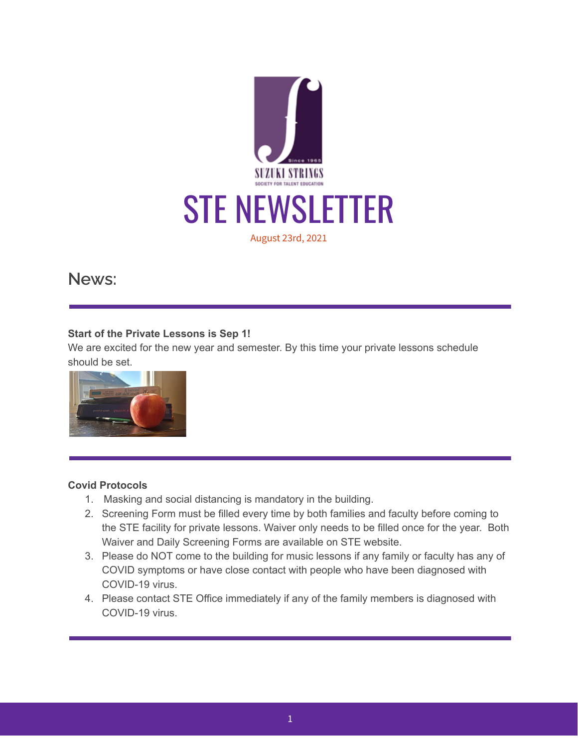

**News:**

#### **Start of the Private Lessons is Sep 1!**

We are excited for the new year and semester. By this time your private lessons schedule should be set.



## **Covid Protocols**

- 1. Masking and social distancing is mandatory in the building.
- 2. Screening Form must be filled every time by both families and faculty before coming to the STE facility for private lessons. Waiver only needs to be filled once for the year. Both Waiver and Daily Screening Forms are available on STE website.
- 3. Please do NOT come to the building for music lessons if any family or faculty has any of COVID symptoms or have close contact with people who have been diagnosed with COVID-19 virus.
- 4. Please contact STE Office immediately if any of the family members is diagnosed with COVID-19 virus.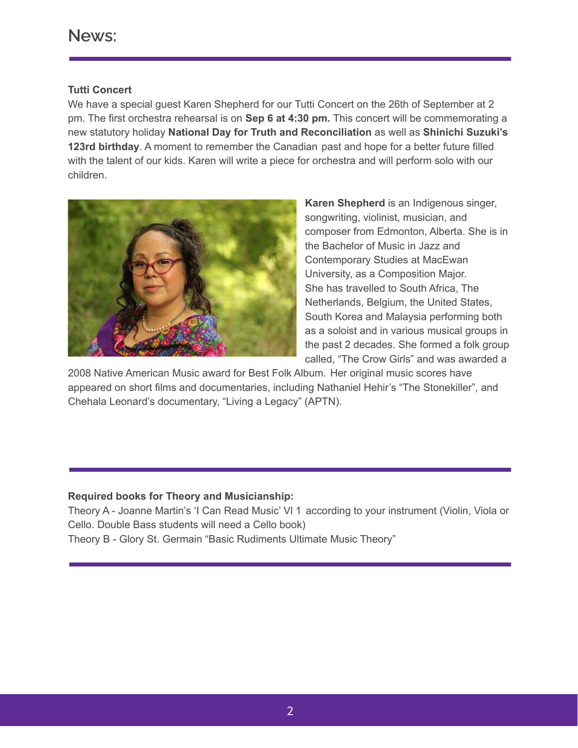#### **Tutti Concert**

We have a special guest Karen Shepherd for our Tutti Concert on the 26th of September at 2 pm. The first orchestra rehearsal is on **Sep 6 at 4:30 pm.** This concert will be commemorating a new statutory holiday **National Day for Truth and Reconciliation** as well as **Shinichi Suzuki's 123rd birthday**. A moment to remember the Canadian past and hope for a better future filled with the talent of our kids. Karen will write a piece for orchestra and will perform solo with our children.



**Karen Shepherd** is an Indigenous singer, songwriting, violinist, musician, and composer from Edmonton, Alberta. She is in the Bachelor of Music in Jazz and Contemporary Studies at MacEwan University, as a Composition Major. She has travelled to South Africa, The Netherlands, Belgium, the United States, South Korea and Malaysia performing both as a soloist and in various musical groups in the past 2 decades. She formed a folk group called, "The Crow Girls" and was awarded a

2008 Native American Music award for Best Folk Album. Her original music scores have appeared on short films and documentaries, including Nathaniel Hehir's "The Stonekiller", and Chehala Leonard's documentary, "Living a Legacy" (APTN).

## **Required books for Theory and Musicianship:**

Theory A - Joanne Martin's 'I Can Read Music' Vl 1 according to your instrument (Violin, Viola or Cello. Double Bass students will need a Cello book)

Theory B - Glory St. Germain "Basic Rudiments Ultimate Music Theory"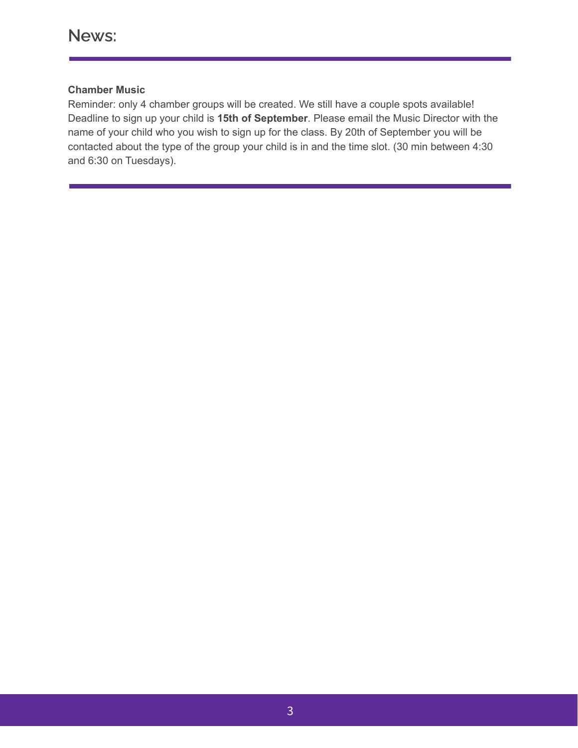## **Chamber Music**

Reminder: only 4 chamber groups will be created. We still have a couple spots available! Deadline to sign up your child is **15th of September**. Please email the Music Director with the name of your child who you wish to sign up for the class. By 20th of September you will be contacted about the type of the group your child is in and the time slot. (30 min between 4:30 and 6:30 on Tuesdays).